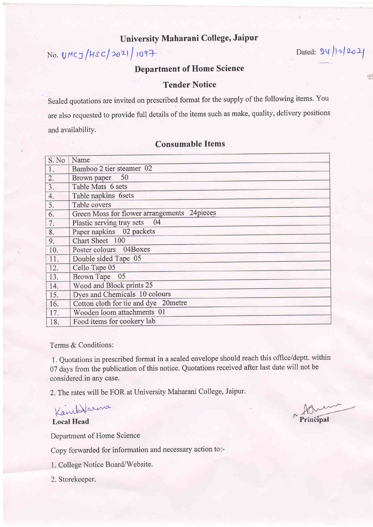## University Maharani College, Jaipur

No. UMCJ/HSC/2021/1097 Dated: 24/12/2021

4 p

## Department of Home Science

## Tender Notice

Sealed quotations are invited on prescribed format for the supply of the following items. You are also requested to provide full details of the items such as make, quality, delivery positions and availability.

## S. No | Name 1. Bamboo 2 tier steamer 02 2. Brown paper <sup>50</sup> 3. Table Mats 6 sets 4. Table napkins 6sets 5. Table covers 6. Green Moss for flower arrangements 24 pieces 7. Plastic serving tray sets 04 8. Paper napkins 02 packets 9. Chart Sheet 100 10. Poster colours O4Boxes 11. Double sided Tape 05 12. Cello Tape 05 13. Brown Tape 05 14. Wood and Block prints 25 15. Dves and Chemicals 10 colours 16. Cotton cloth for tie and dye 20metre 17. Wooden loom attachments 01 18. Food items for cookery lab

## Consumable Items

Terms & Conditions:

1. Quotations in prescribed format in a sealed envelope should reach this office/deptt. within 07 days from the publication of this notice. Quotations received after last date will not be considered.in any case.

2. The rates will be FOR at University Maharani College, Jaipur.

Kankalarma

Local Head

Department of Home Science

Copy forwarded for information and necessary action to:-

1. College Notice Board/Website.

2. Storekeeper.

Principal